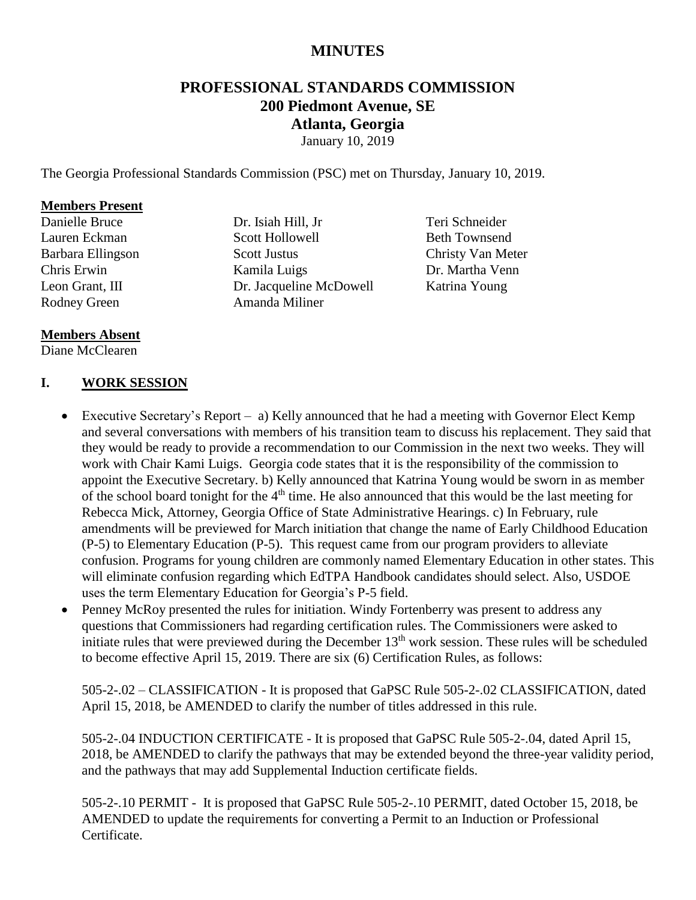## **MINUTES**

# **PROFESSIONAL STANDARDS COMMISSION 200 Piedmont Avenue, SE Atlanta, Georgia**

January 10, 2019

The Georgia Professional Standards Commission (PSC) met on Thursday, January 10, 2019.

#### **Members Present**

Danielle Bruce Lauren Eckman Barbara Ellingson Chris Erwin Leon Grant, III Rodney Green

Dr. Isiah Hill, Jr Scott Hollowell Scott Justus Kamila Luigs Dr. Jacqueline McDowell Amanda Miliner

Teri Schneider Beth Townsend Christy Van Meter Dr. Martha Venn Katrina Young

#### **Members Absent**

Diane McClearen

#### **I. WORK SESSION**

- Executive Secretary's Report a) Kelly announced that he had a meeting with Governor Elect Kemp and several conversations with members of his transition team to discuss his replacement. They said that they would be ready to provide a recommendation to our Commission in the next two weeks. They will work with Chair Kami Luigs. Georgia code states that it is the responsibility of the commission to appoint the Executive Secretary. b) Kelly announced that Katrina Young would be sworn in as member of the school board tonight for the 4<sup>th</sup> time. He also announced that this would be the last meeting for Rebecca Mick, Attorney, Georgia Office of State Administrative Hearings. c) In February, rule amendments will be previewed for March initiation that change the name of Early Childhood Education (P-5) to Elementary Education (P-5). This request came from our program providers to alleviate confusion. Programs for young children are commonly named Elementary Education in other states. This will eliminate confusion regarding which EdTPA Handbook candidates should select. Also, USDOE uses the term Elementary Education for Georgia's P-5 field.
- Penney McRoy presented the rules for initiation. Windy Fortenberry was present to address any questions that Commissioners had regarding certification rules. The Commissioners were asked to initiate rules that were previewed during the December  $13<sup>th</sup>$  work session. These rules will be scheduled to become effective April 15, 2019. There are six (6) Certification Rules, as follows:

505-2-.02 – CLASSIFICATION - It is proposed that GaPSC Rule 505-2-.02 CLASSIFICATION, dated April 15, 2018, be AMENDED to clarify the number of titles addressed in this rule.

505-2-.04 INDUCTION CERTIFICATE - It is proposed that GaPSC Rule 505-2-.04, dated April 15, 2018, be AMENDED to clarify the pathways that may be extended beyond the three-year validity period, and the pathways that may add Supplemental Induction certificate fields.

505-2-.10 PERMIT - It is proposed that GaPSC Rule 505-2-.10 PERMIT, dated October 15, 2018, be AMENDED to update the requirements for converting a Permit to an Induction or Professional Certificate.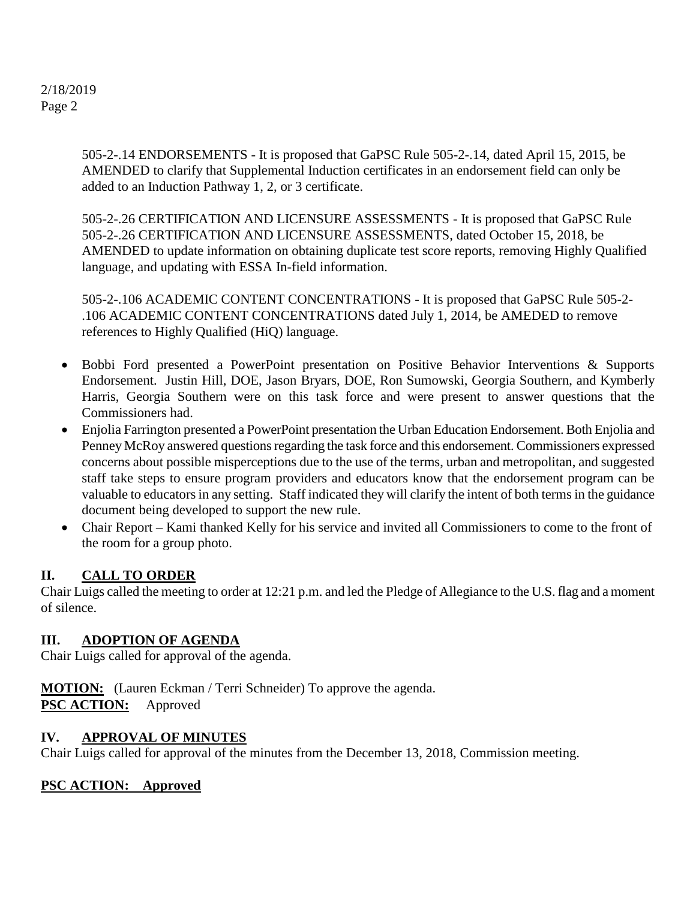> 505-2-.14 ENDORSEMENTS - It is proposed that GaPSC Rule 505-2-.14, dated April 15, 2015, be AMENDED to clarify that Supplemental Induction certificates in an endorsement field can only be added to an Induction Pathway 1, 2, or 3 certificate.

505-2-.26 CERTIFICATION AND LICENSURE ASSESSMENTS - It is proposed that GaPSC Rule 505-2-.26 CERTIFICATION AND LICENSURE ASSESSMENTS, dated October 15, 2018, be AMENDED to update information on obtaining duplicate test score reports, removing Highly Qualified language, and updating with ESSA In-field information.

505-2-.106 ACADEMIC CONTENT CONCENTRATIONS - It is proposed that GaPSC Rule 505-2- .106 ACADEMIC CONTENT CONCENTRATIONS dated July 1, 2014, be AMEDED to remove references to Highly Qualified (HiQ) language.

- Bobbi Ford presented a PowerPoint presentation on Positive Behavior Interventions & Supports Endorsement. Justin Hill, DOE, Jason Bryars, DOE, Ron Sumowski, Georgia Southern, and Kymberly Harris, Georgia Southern were on this task force and were present to answer questions that the Commissioners had.
- Enjolia Farrington presented a PowerPoint presentation the Urban Education Endorsement. Both Enjolia and Penney McRoy answered questions regarding the task force and this endorsement. Commissioners expressed concerns about possible misperceptions due to the use of the terms, urban and metropolitan, and suggested staff take steps to ensure program providers and educators know that the endorsement program can be valuable to educators in any setting. Staff indicated they will clarify the intent of both terms in the guidance document being developed to support the new rule.
- Chair Report Kami thanked Kelly for his service and invited all Commissioners to come to the front of the room for a group photo.

## **II. CALL TO ORDER**

Chair Luigs called the meeting to order at 12:21 p.m. and led the Pledge of Allegiance to the U.S. flag and a moment of silence.

#### **III. ADOPTION OF AGENDA**

Chair Luigs called for approval of the agenda.

**MOTION:** (Lauren Eckman / Terri Schneider) To approve the agenda. **PSC ACTION:** Approved

#### **IV. APPROVAL OF MINUTES**

Chair Luigs called for approval of the minutes from the December 13, 2018, Commission meeting.

## **PSC ACTION: Approved**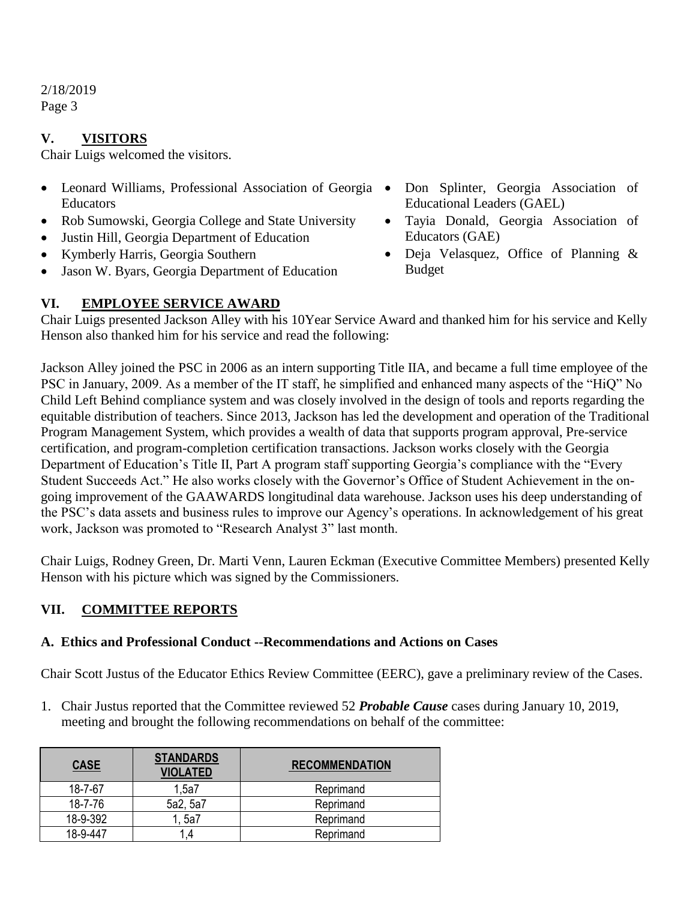## **V. VISITORS**

Chair Luigs welcomed the visitors.

- Leonard Williams, Professional Association of Georgia Educators
- Rob Sumowski, Georgia College and State University
- Justin Hill, Georgia Department of Education
- Kymberly Harris, Georgia Southern
- Jason W. Byars, Georgia Department of Education
- Don Splinter, Georgia Association of Educational Leaders (GAEL)
- Tayia Donald, Georgia Association of Educators (GAE)
- Deja Velasquez, Office of Planning & Budget

## **VI. EMPLOYEE SERVICE AWARD**

Chair Luigs presented Jackson Alley with his 10Year Service Award and thanked him for his service and Kelly Henson also thanked him for his service and read the following:

Jackson Alley joined the PSC in 2006 as an intern supporting Title IIA, and became a full time employee of the PSC in January, 2009. As a member of the IT staff, he simplified and enhanced many aspects of the "HiQ" No Child Left Behind compliance system and was closely involved in the design of tools and reports regarding the equitable distribution of teachers. Since 2013, Jackson has led the development and operation of the Traditional Program Management System, which provides a wealth of data that supports program approval, Pre-service certification, and program-completion certification transactions. Jackson works closely with the Georgia Department of Education's Title II, Part A program staff supporting Georgia's compliance with the "Every Student Succeeds Act." He also works closely with the Governor's Office of Student Achievement in the ongoing improvement of the GAAWARDS longitudinal data warehouse. Jackson uses his deep understanding of the PSC's data assets and business rules to improve our Agency's operations. In acknowledgement of his great work, Jackson was promoted to "Research Analyst 3" last month.

Chair Luigs, Rodney Green, Dr. Marti Venn, Lauren Eckman (Executive Committee Members) presented Kelly Henson with his picture which was signed by the Commissioners.

## **VII. COMMITTEE REPORTS**

#### **A. Ethics and Professional Conduct --Recommendations and Actions on Cases**

Chair Scott Justus of the Educator Ethics Review Committee (EERC), gave a preliminary review of the Cases.

1. Chair Justus reported that the Committee reviewed 52 *Probable Cause* cases during January 10, 2019, meeting and brought the following recommendations on behalf of the committee:

| <b>CASE</b> | <b>STANDARDS</b><br><b>VIOLATED</b> | <b>RECOMMENDATION</b> |
|-------------|-------------------------------------|-----------------------|
| 18-7-67     | 1.5a7                               | Reprimand             |
| 18-7-76     | 5a2, 5a7                            | Reprimand             |
| 18-9-392    | 1, 5a7                              | Reprimand             |
| 18-9-447    | .4                                  | Reprimand             |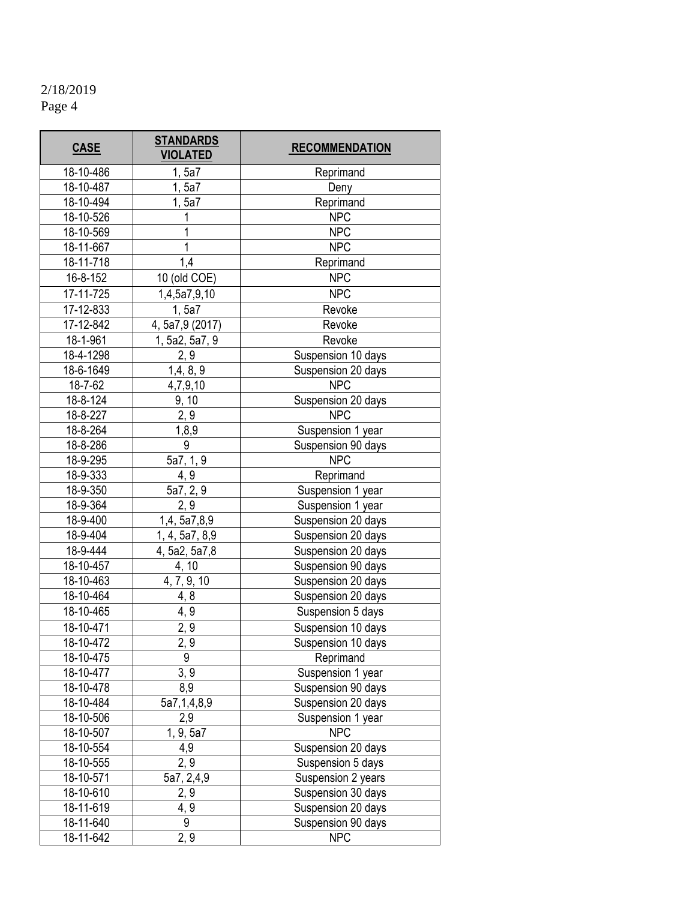| <b>CASE</b> | <b>STANDARDS</b><br><b>VIOLATED</b> | <b>RECOMMENDATION</b> |
|-------------|-------------------------------------|-----------------------|
| 18-10-486   | 1, 5a7                              | Reprimand             |
| 18-10-487   | 1, 5a7                              | Deny                  |
| 18-10-494   | 1, 5a7                              | Reprimand             |
| 18-10-526   | 1                                   | <b>NPC</b>            |
| 18-10-569   | 1                                   | <b>NPC</b>            |
| 18-11-667   | 1                                   | <b>NPC</b>            |
| 18-11-718   | 1,4                                 | Reprimand             |
| 16-8-152    | 10 (old COE)                        | <b>NPC</b>            |
| 17-11-725   | 1,4,5a7,9,10                        | <b>NPC</b>            |
| 17-12-833   | 1, 5a7                              | Revoke                |
| 17-12-842   | 4, 5a7,9 (2017)                     | Revoke                |
| 18-1-961    | 1, 5a2, 5a7, 9                      | Revoke                |
| 18-4-1298   | 2, 9                                | Suspension 10 days    |
| 18-6-1649   | 1,4,8,9                             | Suspension 20 days    |
| 18-7-62     | 4,7,9,10                            | <b>NPC</b>            |
| 18-8-124    | 9, 10                               | Suspension 20 days    |
| 18-8-227    | 2, 9                                | <b>NPC</b>            |
| 18-8-264    | 1,8,9                               | Suspension 1 year     |
| 18-8-286    | 9                                   | Suspension 90 days    |
| 18-9-295    | 5a7, 1, 9                           | <b>NPC</b>            |
| 18-9-333    | 4, 9                                | Reprimand             |
| 18-9-350    | 5a7, 2, 9                           | Suspension 1 year     |
| 18-9-364    | 2, 9                                | Suspension 1 year     |
| 18-9-400    | 1,4, 5a7,8,9                        | Suspension 20 days    |
| 18-9-404    | 1, 4, 5a7, 8,9                      | Suspension 20 days    |
| 18-9-444    | 4, 5a2, 5a7,8                       | Suspension 20 days    |
| 18-10-457   | 4, 10                               | Suspension 90 days    |
| 18-10-463   | 4, 7, 9, 10                         | Suspension 20 days    |
| 18-10-464   | 4, 8                                | Suspension 20 days    |
| 18-10-465   | 4, 9                                | Suspension 5 days     |
| 18-10-471   | 2, 9                                | Suspension 10 days    |
| 18-10-472   | 2, 9                                | Suspension 10 days    |
| 18-10-475   | 9                                   | Reprimand             |
| 18-10-477   | 3, 9                                | Suspension 1 year     |
| 18-10-478   | 8,9                                 | Suspension 90 days    |
| 18-10-484   | 5a7,1,4,8,9                         | Suspension 20 days    |
| 18-10-506   | 2,9                                 | Suspension 1 year     |
| 18-10-507   | 1, 9, 5a7                           | <b>NPC</b>            |
| 18-10-554   | 4,9                                 | Suspension 20 days    |
| 18-10-555   | 2, 9                                | Suspension 5 days     |
| 18-10-571   | 5a7, 2,4,9                          | Suspension 2 years    |
| 18-10-610   | 2, 9                                | Suspension 30 days    |
| 18-11-619   | 4, 9                                | Suspension 20 days    |
| 18-11-640   | 9                                   | Suspension 90 days    |
| 18-11-642   | 2, 9                                | <b>NPC</b>            |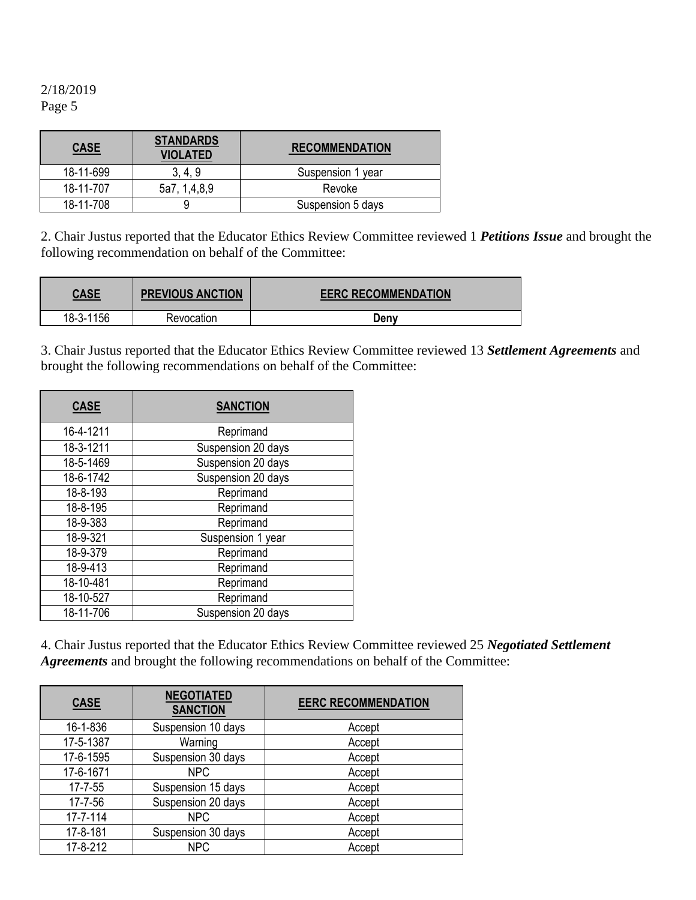| <b>CASE</b> | <b>STANDARDS</b><br><b>VIOLATED</b> | <b>RECOMMENDATION</b> |
|-------------|-------------------------------------|-----------------------|
| 18-11-699   | 3, 4, 9                             | Suspension 1 year     |
| 18-11-707   | 5a7, 1,4,8,9                        | Revoke                |
| 18-11-708   |                                     | Suspension 5 days     |

2. Chair Justus reported that the Educator Ethics Review Committee reviewed 1 *Petitions Issue* and brought the following recommendation on behalf of the Committee:

| <b>CASE</b> | <b>PREVIOUS ANCTION</b> | <b>EERC RECOMMENDATION</b> |
|-------------|-------------------------|----------------------------|
| 18-3-1156   | Revocation              | Deny                       |

3. Chair Justus reported that the Educator Ethics Review Committee reviewed 13 *Settlement Agreements* and brought the following recommendations on behalf of the Committee:

| <b>CASE</b> | <b>SANCTION</b>    |
|-------------|--------------------|
| 16-4-1211   | Reprimand          |
| 18-3-1211   | Suspension 20 days |
| 18-5-1469   | Suspension 20 days |
| 18-6-1742   | Suspension 20 days |
| 18-8-193    | Reprimand          |
| 18-8-195    | Reprimand          |
| 18-9-383    | Reprimand          |
| 18-9-321    | Suspension 1 year  |
| 18-9-379    | Reprimand          |
| 18-9-413    | Reprimand          |
| 18-10-481   | Reprimand          |
| 18-10-527   | Reprimand          |
| 18-11-706   | Suspension 20 days |

4. Chair Justus reported that the Educator Ethics Review Committee reviewed 25 *Negotiated Settlement Agreements* and brought the following recommendations on behalf of the Committee:

| <b>CASE</b>    | <b>NEGOTIATED</b><br><b>SANCTION</b> | <b>EERC RECOMMENDATION</b> |
|----------------|--------------------------------------|----------------------------|
| 16-1-836       | Suspension 10 days                   | Accept                     |
| 17-5-1387      | Warning                              | Accept                     |
| 17-6-1595      | Suspension 30 days                   | Accept                     |
| 17-6-1671      | <b>NPC</b>                           | Accept                     |
| $17 - 7 - 55$  | Suspension 15 days                   | Accept                     |
| 17-7-56        | Suspension 20 days                   | Accept                     |
| $17 - 7 - 114$ | <b>NPC</b>                           | Accept                     |
| 17-8-181       | Suspension 30 days                   | Accept                     |
| 17-8-212       | <b>NPC</b>                           | Accept                     |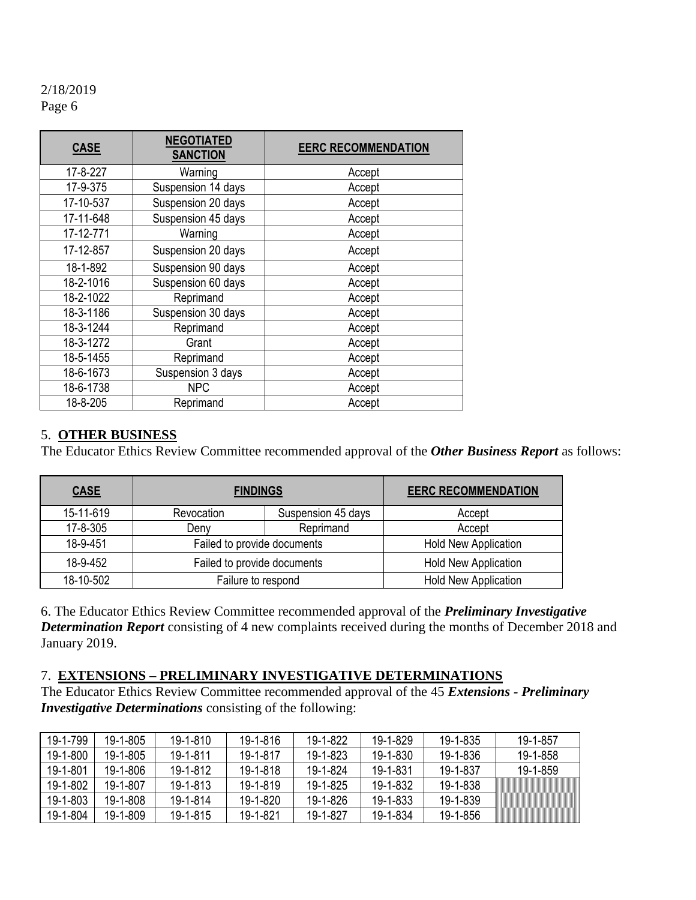| <b>CASE</b> | <b>NEGOTIATED</b><br><b>SANCTION</b> | <b>EERC RECOMMENDATION</b> |
|-------------|--------------------------------------|----------------------------|
| 17-8-227    | Warning                              | Accept                     |
| 17-9-375    | Suspension 14 days                   | Accept                     |
| 17-10-537   | Suspension 20 days                   | Accept                     |
| 17-11-648   | Suspension 45 days                   | Accept                     |
| 17-12-771   | Warning                              | Accept                     |
| 17-12-857   | Suspension 20 days                   | Accept                     |
| 18-1-892    | Suspension 90 days                   | Accept                     |
| 18-2-1016   | Suspension 60 days                   | Accept                     |
| 18-2-1022   | Reprimand                            | Accept                     |
| 18-3-1186   | Suspension 30 days                   | Accept                     |
| 18-3-1244   | Reprimand                            | Accept                     |
| 18-3-1272   | Grant                                | Accept                     |
| 18-5-1455   | Reprimand                            | Accept                     |
| 18-6-1673   | Suspension 3 days                    | Accept                     |
| 18-6-1738   | <b>NPC</b>                           | Accept                     |
| 18-8-205    | Reprimand                            | Accept                     |

#### 5. **OTHER BUSINESS**

The Educator Ethics Review Committee recommended approval of the *Other Business Report* as follows:

| <b>CASE</b> | <b>FINDINGS</b>             |                    | <b>EERC RECOMMENDATION</b>  |
|-------------|-----------------------------|--------------------|-----------------------------|
| 15-11-619   | Revocation                  | Suspension 45 days | Accept                      |
| 17-8-305    | Deny                        | Reprimand          | Accept                      |
| 18-9-451    | Failed to provide documents |                    | <b>Hold New Application</b> |
| 18-9-452    | Failed to provide documents |                    | <b>Hold New Application</b> |
| 18-10-502   | Failure to respond          |                    | <b>Hold New Application</b> |

6. The Educator Ethics Review Committee recommended approval of the *Preliminary Investigative Determination Report* consisting of 4 new complaints received during the months of December 2018 and January 2019.

#### 7. **EXTENSIONS – PRELIMINARY INVESTIGATIVE DETERMINATIONS**

The Educator Ethics Review Committee recommended approval of the 45 *Extensions - Preliminary Investigative Determinations* consisting of the following:

| 19-1-799 | 19-1-805 | $19 - 1 - 810$ | 19-1-816       | 19-1-822 | 19-1-829 | 19-1-835 | 19-1-857 |
|----------|----------|----------------|----------------|----------|----------|----------|----------|
| 19-1-800 | 19-1-805 | 19-1-811       | 19-1-817       | 19-1-823 | 19-1-830 | 19-1-836 | 19-1-858 |
| 19-1-801 | 19-1-806 | 19-1-812       | 19-1-818       | 19-1-824 | 19-1-831 | 19-1-837 | 19-1-859 |
| 19-1-802 | 19-1-807 | $19 - 1 - 813$ | $19 - 1 - 819$ | 19-1-825 | 19-1-832 | 19-1-838 |          |
| 19-1-803 | 19-1-808 | 19-1-814       | $19 - 1 - 820$ | 19-1-826 | 19-1-833 | 19-1-839 |          |
| 19-1-804 | 19-1-809 | $19 - 1 - 815$ | 19-1-821       | 19-1-827 | 19-1-834 | 19-1-856 |          |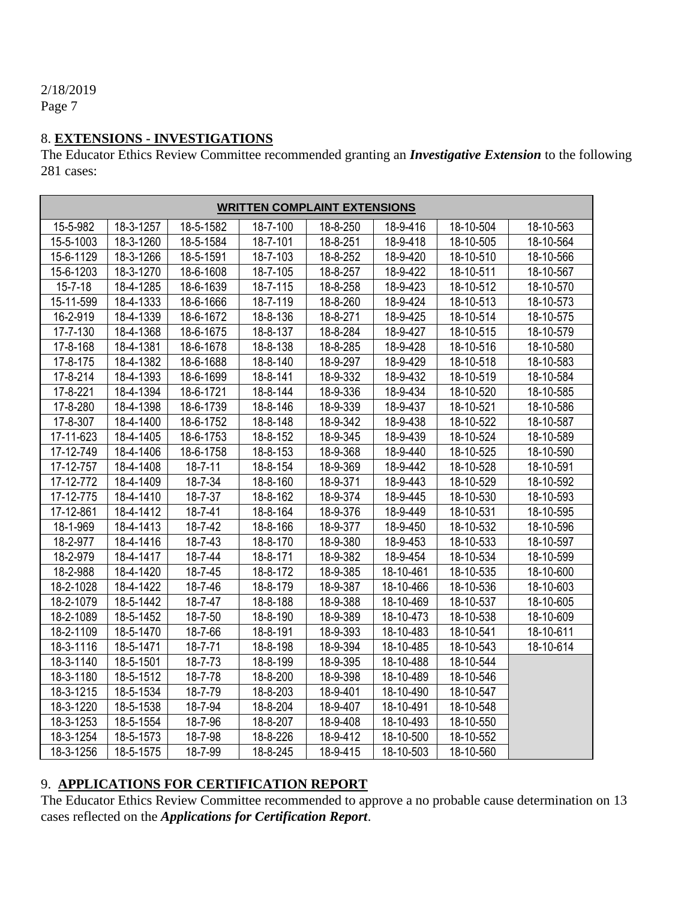# 2/18/2019

Page 7

## 8. **EXTENSIONS - INVESTIGATIONS**

The Educator Ethics Review Committee recommended granting an *Investigative Extension* to the following 281 cases:

| <b>WRITTEN COMPLAINT EXTENSIONS</b> |                 |               |                           |          |           |                 |           |
|-------------------------------------|-----------------|---------------|---------------------------|----------|-----------|-----------------|-----------|
| 15-5-982                            | 18-3-1257       | 18-5-1582     | 18-7-100                  | 18-8-250 | 18-9-416  | $18 - 10 - 504$ | 18-10-563 |
| 15-5-1003                           | 18-3-1260       | 18-5-1584     | 18-7-101                  | 18-8-251 | 18-9-418  | 18-10-505       | 18-10-564 |
| 15-6-1129                           | 18-3-1266       | 18-5-1591     | 18-7-103                  | 18-8-252 | 18-9-420  | 18-10-510       | 18-10-566 |
| 15-6-1203                           | 18-3-1270       | 18-6-1608     | 18-7-105                  | 18-8-257 | 18-9-422  | 18-10-511       | 18-10-567 |
| $15 - 7 - 18$                       | 18-4-1285       | 18-6-1639     | 18-7-115                  | 18-8-258 | 18-9-423  | 18-10-512       | 18-10-570 |
| 15-11-599                           | 18-4-1333       | 18-6-1666     | 18-7-119                  | 18-8-260 | 18-9-424  | 18-10-513       | 18-10-573 |
| 16-2-919                            | 18-4-1339       | 18-6-1672     | 18-8-136                  | 18-8-271 | 18-9-425  | 18-10-514       | 18-10-575 |
| 17-7-130                            | 18-4-1368       | 18-6-1675     | 18-8-137                  | 18-8-284 | 18-9-427  | 18-10-515       | 18-10-579 |
| 17-8-168                            | 18-4-1381       | 18-6-1678     | 18-8-138                  | 18-8-285 | 18-9-428  | 18-10-516       | 18-10-580 |
| 17-8-175                            | 18-4-1382       | 18-6-1688     | 18-8-140                  | 18-9-297 | 18-9-429  | 18-10-518       | 18-10-583 |
| 17-8-214                            | 18-4-1393       | 18-6-1699     | 18-8-141                  | 18-9-332 | 18-9-432  | 18-10-519       | 18-10-584 |
| 17-8-221                            | 18-4-1394       | 18-6-1721     | 18-8-144                  | 18-9-336 | 18-9-434  | 18-10-520       | 18-10-585 |
| 17-8-280                            | 18-4-1398       | 18-6-1739     | 18-8-146                  | 18-9-339 | 18-9-437  | 18-10-521       | 18-10-586 |
| 17-8-307                            | 18-4-1400       | 18-6-1752     | 18-8-148                  | 18-9-342 | 18-9-438  | 18-10-522       | 18-10-587 |
| 17-11-623                           | 18-4-1405       | 18-6-1753     | 18-8-152                  | 18-9-345 | 18-9-439  | 18-10-524       | 18-10-589 |
| 17-12-749                           | 18-4-1406       | 18-6-1758     | 18-8-153                  | 18-9-368 | 18-9-440  | 18-10-525       | 18-10-590 |
| 17-12-757                           | 18-4-1408       | $18 - 7 - 11$ | 18-8-154                  | 18-9-369 | 18-9-442  | 18-10-528       | 18-10-591 |
| 17-12-772                           | 18-4-1409       | 18-7-34       | 18-8-160                  | 18-9-371 | 18-9-443  | 18-10-529       | 18-10-592 |
| 17-12-775                           | 18-4-1410       | 18-7-37       | 18-8-162                  | 18-9-374 | 18-9-445  | 18-10-530       | 18-10-593 |
| 17-12-861                           | 18-4-1412       | 18-7-41       | 18-8-164                  | 18-9-376 | 18-9-449  | 18-10-531       | 18-10-595 |
| 18-1-969                            | 18-4-1413       | 18-7-42       | 18-8-166                  | 18-9-377 | 18-9-450  | 18-10-532       | 18-10-596 |
| 18-2-977                            | $18 - 4 - 1416$ | 18-7-43       | 18-8-170                  | 18-9-380 | 18-9-453  | 18-10-533       | 18-10-597 |
| 18-2-979                            | 18-4-1417       | 18-7-44       | 18-8-171                  | 18-9-382 | 18-9-454  | 18-10-534       | 18-10-599 |
| 18-2-988                            | 18-4-1420       | 18-7-45       | $\overline{18} - 8 - 172$ | 18-9-385 | 18-10-461 | 18-10-535       | 18-10-600 |
| 18-2-1028                           | 18-4-1422       | 18-7-46       | 18-8-179                  | 18-9-387 | 18-10-466 | 18-10-536       | 18-10-603 |
| 18-2-1079                           | 18-5-1442       | 18-7-47       | 18-8-188                  | 18-9-388 | 18-10-469 | 18-10-537       | 18-10-605 |
| 18-2-1089                           | 18-5-1452       | 18-7-50       | 18-8-190                  | 18-9-389 | 18-10-473 | 18-10-538       | 18-10-609 |
| 18-2-1109                           | 18-5-1470       | 18-7-66       | 18-8-191                  | 18-9-393 | 18-10-483 | 18-10-541       | 18-10-611 |
| 18-3-1116                           | 18-5-1471       | 18-7-71       | 18-8-198                  | 18-9-394 | 18-10-485 | 18-10-543       | 18-10-614 |
| 18-3-1140                           | 18-5-1501       | 18-7-73       | 18-8-199                  | 18-9-395 | 18-10-488 | 18-10-544       |           |
| 18-3-1180                           | 18-5-1512       | 18-7-78       | 18-8-200                  | 18-9-398 | 18-10-489 | 18-10-546       |           |
| 18-3-1215                           | 18-5-1534       | 18-7-79       | 18-8-203                  | 18-9-401 | 18-10-490 | 18-10-547       |           |
| 18-3-1220                           | 18-5-1538       | 18-7-94       | 18-8-204                  | 18-9-407 | 18-10-491 | 18-10-548       |           |
| 18-3-1253                           | 18-5-1554       | 18-7-96       | 18-8-207                  | 18-9-408 | 18-10-493 | 18-10-550       |           |
| 18-3-1254                           | 18-5-1573       | 18-7-98       | 18-8-226                  | 18-9-412 | 18-10-500 | 18-10-552       |           |
| 18-3-1256                           | 18-5-1575       | 18-7-99       | 18-8-245                  | 18-9-415 | 18-10-503 | 18-10-560       |           |

# 9. **APPLICATIONS FOR CERTIFICATION REPORT**

The Educator Ethics Review Committee recommended to approve a no probable cause determination on 13 cases reflected on the *Applications for Certification Report*.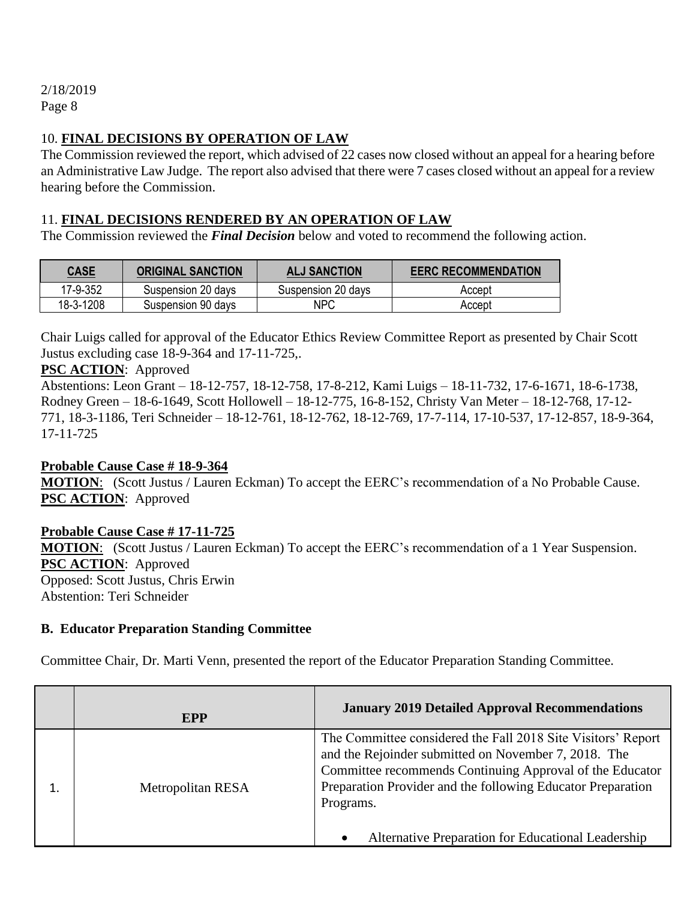#### 10. **FINAL DECISIONS BY OPERATION OF LAW**

The Commission reviewed the report, which advised of 22 cases now closed without an appeal for a hearing before an Administrative Law Judge. The report also advised that there were 7 cases closed without an appeal for a review hearing before the Commission.

## 11. **FINAL DECISIONS RENDERED BY AN OPERATION OF LAW**

The Commission reviewed the *Final Decision* below and voted to recommend the following action.

| <b>CASE</b> | <b>ORIGINAL SANCTION</b> | <b>ALJ SANCTION</b> | <b>EERC RECOMMENDATION</b> |
|-------------|--------------------------|---------------------|----------------------------|
| 17-9-352    | Suspension 20 days       | Suspension 20 days  | Accept                     |
| 18-3-1208   | Suspension 90 days       | <b>NPC</b>          | Accept                     |

Chair Luigs called for approval of the Educator Ethics Review Committee Report as presented by Chair Scott Justus excluding case 18-9-364 and 17-11-725,.

#### **PSC ACTION**: Approved

Abstentions: Leon Grant – 18-12-757, 18-12-758, 17-8-212, Kami Luigs – 18-11-732, 17-6-1671, 18-6-1738, Rodney Green – 18-6-1649, Scott Hollowell – 18-12-775, 16-8-152, Christy Van Meter – 18-12-768, 17-12- 771, 18-3-1186, Teri Schneider – 18-12-761, 18-12-762, 18-12-769, 17-7-114, 17-10-537, 17-12-857, 18-9-364, 17-11-725

#### **Probable Cause Case # 18-9-364**

**MOTION**: (Scott Justus / Lauren Eckman) To accept the EERC's recommendation of a No Probable Cause. **PSC ACTION**: Approved

## **Probable Cause Case # 17-11-725**

**MOTION**: (Scott Justus / Lauren Eckman) To accept the EERC's recommendation of a 1 Year Suspension. **PSC ACTION**: Approved Opposed: Scott Justus, Chris Erwin Abstention: Teri Schneider

#### **B. Educator Preparation Standing Committee**

Committee Chair, Dr. Marti Venn, presented the report of the Educator Preparation Standing Committee.

| <b>EPP</b>        | <b>January 2019 Detailed Approval Recommendations</b>                                                                                                                                                                                                                                                              |
|-------------------|--------------------------------------------------------------------------------------------------------------------------------------------------------------------------------------------------------------------------------------------------------------------------------------------------------------------|
| Metropolitan RESA | The Committee considered the Fall 2018 Site Visitors' Report<br>and the Rejoinder submitted on November 7, 2018. The<br>Committee recommends Continuing Approval of the Educator<br>Preparation Provider and the following Educator Preparation<br>Programs.<br>Alternative Preparation for Educational Leadership |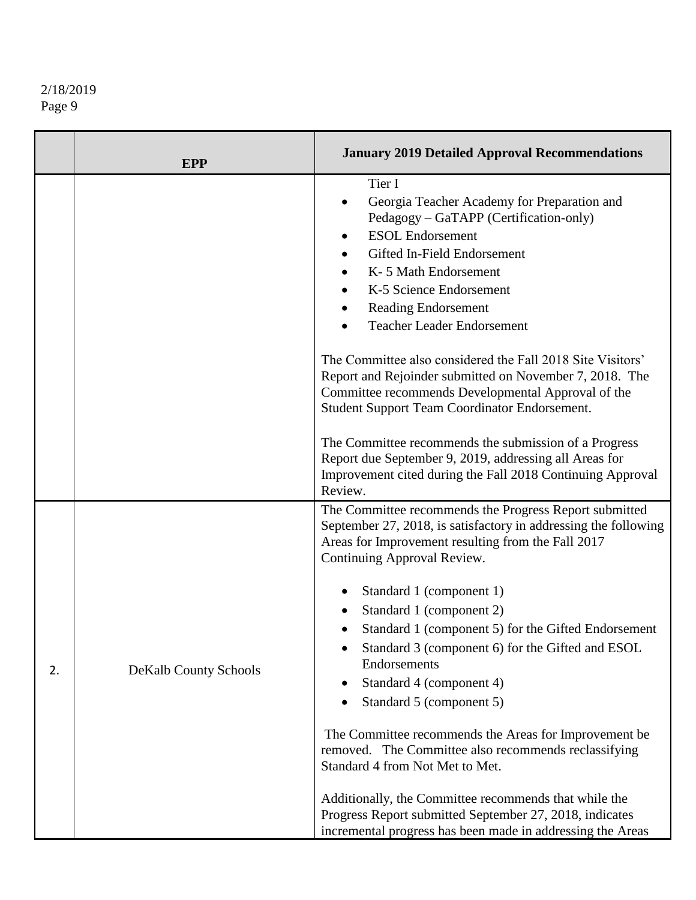|    | <b>EPP</b>            | <b>January 2019 Detailed Approval Recommendations</b>                                                                                                                                                                                                                                                                                                                                                                                                                                                                                                                                                                                                                                                                                                                                           |
|----|-----------------------|-------------------------------------------------------------------------------------------------------------------------------------------------------------------------------------------------------------------------------------------------------------------------------------------------------------------------------------------------------------------------------------------------------------------------------------------------------------------------------------------------------------------------------------------------------------------------------------------------------------------------------------------------------------------------------------------------------------------------------------------------------------------------------------------------|
|    |                       | Tier I<br>Georgia Teacher Academy for Preparation and<br>Pedagogy - GaTAPP (Certification-only)<br><b>ESOL</b> Endorsement<br>Gifted In-Field Endorsement<br>K-5 Math Endorsement<br>K-5 Science Endorsement<br>Reading Endorsement<br><b>Teacher Leader Endorsement</b>                                                                                                                                                                                                                                                                                                                                                                                                                                                                                                                        |
|    |                       | The Committee also considered the Fall 2018 Site Visitors'<br>Report and Rejoinder submitted on November 7, 2018. The<br>Committee recommends Developmental Approval of the<br>Student Support Team Coordinator Endorsement.<br>The Committee recommends the submission of a Progress<br>Report due September 9, 2019, addressing all Areas for<br>Improvement cited during the Fall 2018 Continuing Approval<br>Review.                                                                                                                                                                                                                                                                                                                                                                        |
| 2. | DeKalb County Schools | The Committee recommends the Progress Report submitted<br>September 27, 2018, is satisfactory in addressing the following<br>Areas for Improvement resulting from the Fall 2017<br>Continuing Approval Review.<br>Standard 1 (component 1)<br>Standard 1 (component 2)<br>Standard 1 (component 5) for the Gifted Endorsement<br>Standard 3 (component 6) for the Gifted and ESOL<br>Endorsements<br>Standard 4 (component 4)<br>Standard 5 (component 5)<br>The Committee recommends the Areas for Improvement be<br>removed. The Committee also recommends reclassifying<br>Standard 4 from Not Met to Met.<br>Additionally, the Committee recommends that while the<br>Progress Report submitted September 27, 2018, indicates<br>incremental progress has been made in addressing the Areas |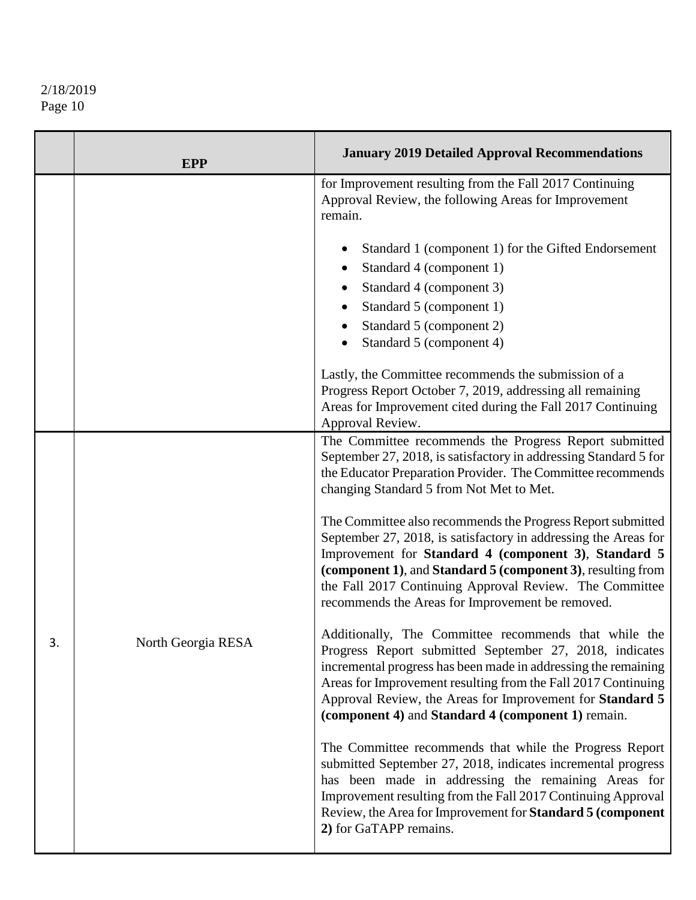|    | <b>EPP</b>         | <b>January 2019 Detailed Approval Recommendations</b>                                                                                                                                                                                                                                                                                                                                                                                                                                                                                                                                                                                                                                                                                                                                                                                                                                                                                                                                   |
|----|--------------------|-----------------------------------------------------------------------------------------------------------------------------------------------------------------------------------------------------------------------------------------------------------------------------------------------------------------------------------------------------------------------------------------------------------------------------------------------------------------------------------------------------------------------------------------------------------------------------------------------------------------------------------------------------------------------------------------------------------------------------------------------------------------------------------------------------------------------------------------------------------------------------------------------------------------------------------------------------------------------------------------|
|    |                    | for Improvement resulting from the Fall 2017 Continuing<br>Approval Review, the following Areas for Improvement<br>remain.                                                                                                                                                                                                                                                                                                                                                                                                                                                                                                                                                                                                                                                                                                                                                                                                                                                              |
|    |                    | Standard 1 (component 1) for the Gifted Endorsement<br>Standard 4 (component 1)<br>Standard 4 (component 3)<br>Standard 5 (component 1)<br>Standard 5 (component 2)<br>Standard 5 (component 4)<br>Lastly, the Committee recommends the submission of a                                                                                                                                                                                                                                                                                                                                                                                                                                                                                                                                                                                                                                                                                                                                 |
|    |                    | Progress Report October 7, 2019, addressing all remaining<br>Areas for Improvement cited during the Fall 2017 Continuing<br>Approval Review.                                                                                                                                                                                                                                                                                                                                                                                                                                                                                                                                                                                                                                                                                                                                                                                                                                            |
| .כ | North Georgia RESA | The Committee recommends the Progress Report submitted<br>September 27, 2018, is satisfactory in addressing Standard 5 for<br>the Educator Preparation Provider. The Committee recommends<br>changing Standard 5 from Not Met to Met.<br>The Committee also recommends the Progress Report submitted<br>September 27, 2018, is satisfactory in addressing the Areas for<br>Improvement for Standard 4 (component 3), Standard 5<br>(component 1), and Standard 5 (component 3), resulting from<br>the Fall 2017 Continuing Approval Review. The Committee<br>recommends the Areas for Improvement be removed.<br>Additionally, The Committee recommends that while the<br>Progress Report submitted September 27, 2018, indicates<br>incremental progress has been made in addressing the remaining<br>Areas for Improvement resulting from the Fall 2017 Continuing<br>Approval Review, the Areas for Improvement for Standard 5<br>(component 4) and Standard 4 (component 1) remain. |
|    |                    | The Committee recommends that while the Progress Report<br>submitted September 27, 2018, indicates incremental progress<br>has been made in addressing the remaining Areas for<br>Improvement resulting from the Fall 2017 Continuing Approval<br>Review, the Area for Improvement for Standard 5 (component<br>2) for GaTAPP remains.                                                                                                                                                                                                                                                                                                                                                                                                                                                                                                                                                                                                                                                  |